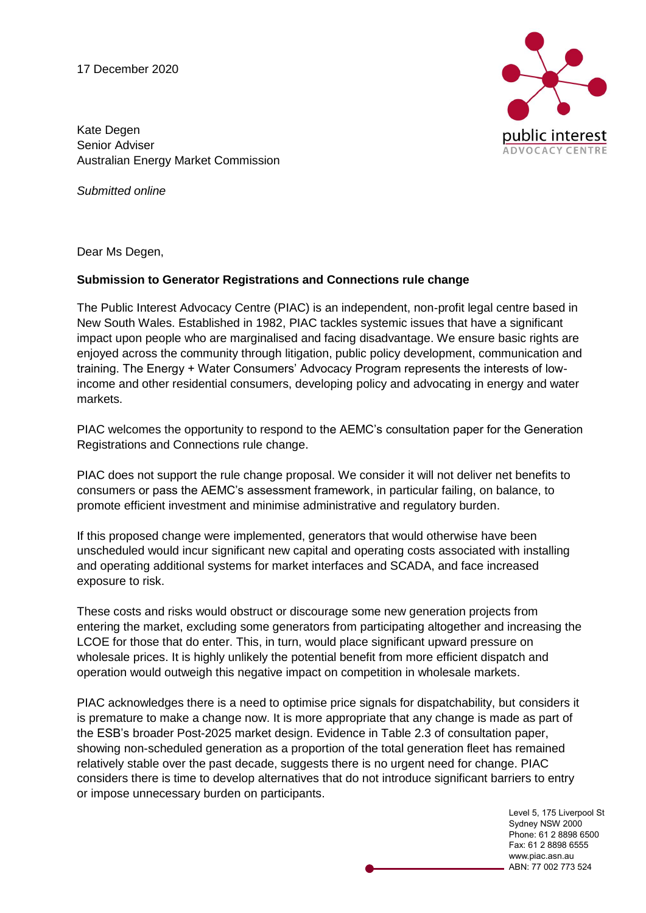17 December 2020



Kate Degen Senior Adviser Australian Energy Market Commission

*Submitted online*

Dear Ms Degen,

## **Submission to Generator Registrations and Connections rule change**

The Public Interest Advocacy Centre (PIAC) is an independent, non-profit legal centre based in New South Wales. Established in 1982, PIAC tackles systemic issues that have a significant impact upon people who are marginalised and facing disadvantage. We ensure basic rights are enjoyed across the community through litigation, public policy development, communication and training. The Energy + Water Consumers' Advocacy Program represents the interests of lowincome and other residential consumers, developing policy and advocating in energy and water markets.

PIAC welcomes the opportunity to respond to the AEMC's consultation paper for the Generation Registrations and Connections rule change.

PIAC does not support the rule change proposal. We consider it will not deliver net benefits to consumers or pass the AEMC's assessment framework, in particular failing, on balance, to promote efficient investment and minimise administrative and regulatory burden.

If this proposed change were implemented, generators that would otherwise have been unscheduled would incur significant new capital and operating costs associated with installing and operating additional systems for market interfaces and SCADA, and face increased exposure to risk.

These costs and risks would obstruct or discourage some new generation projects from entering the market, excluding some generators from participating altogether and increasing the LCOE for those that do enter. This, in turn, would place significant upward pressure on wholesale prices. It is highly unlikely the potential benefit from more efficient dispatch and operation would outweigh this negative impact on competition in wholesale markets.

PIAC acknowledges there is a need to optimise price signals for dispatchability, but considers it is premature to make a change now. It is more appropriate that any change is made as part of the ESB's broader Post-2025 market design. Evidence in Table 2.3 of consultation paper, showing non-scheduled generation as a proportion of the total generation fleet has remained relatively stable over the past decade, suggests there is no urgent need for change. PIAC considers there is time to develop alternatives that do not introduce significant barriers to entry or impose unnecessary burden on participants.

> Level 5, 175 Liverpool St Sydney NSW 2000 Phone: 61 2 8898 6500 Fax: 61 2 8898 6555 www.piac.asn.au ABN: 77 002 773 524